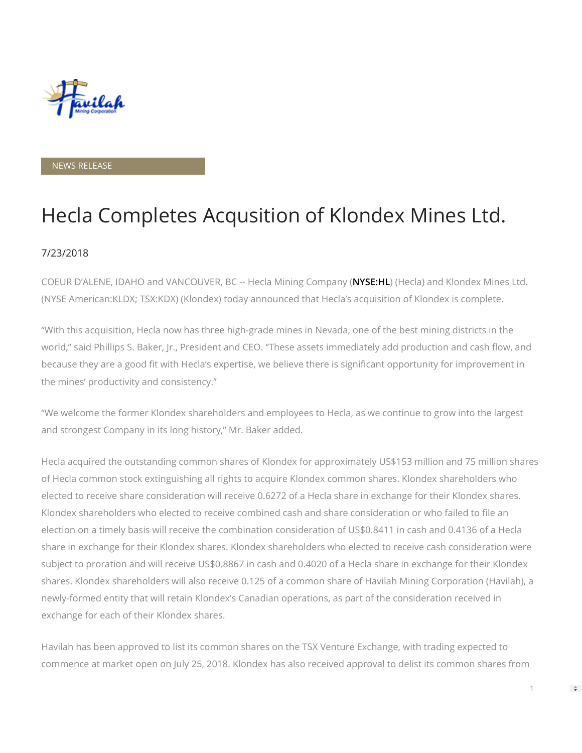

## NEWS RELEASE

# Hecla Completes Acqusition of Klondex Mines Ltd.

# 7/23/2018

COEUR D'ALENE, IDAHO and VANCOUVER, BC -- Hecla Mining Company ([NYSE:HL](http://www.hecla-mining.com/)) (Hecla) and Klondex Mines Ltd. (NYSE American:KLDX; TSX:KDX) (Klondex) today announced that Hecla's acquisition of Klondex is complete.

"With this acquisition, Hecla now has three high-grade mines in Nevada, one of the best mining districts in the world," said Phillips S. Baker, Jr., President and CEO. "These assets immediately add production and cash flow, and because they are a good fit with Hecla's expertise, we believe there is significant opportunity for improvement in the mines' productivity and consistency."

"We welcome the former Klondex shareholders and employees to Hecla, as we continue to grow into the largest and strongest Company in its long history," Mr. Baker added.

Hecla acquired the outstanding common shares of Klondex for approximately US\$153 million and 75 million shares of Hecla common stock extinguishing all rights to acquire Klondex common shares. Klondex shareholders who elected to receive share consideration will receive 0.6272 of a Hecla share in exchange for their Klondex shares. Klondex shareholders who elected to receive combined cash and share consideration or who failed to file an election on a timely basis will receive the combination consideration of US\$0.8411 in cash and 0.4136 of a Hecla share in exchange for their Klondex shares. Klondex shareholders who elected to receive cash consideration were subject to proration and will receive US\$0.8867 in cash and 0.4020 of a Hecla share in exchange for their Klondex shares. Klondex shareholders will also receive 0.125 of a common share of Havilah Mining Corporation (Havilah), a newly-formed entity that will retain Klondex's Canadian operations, as part of the consideration received in exchange for each of their Klondex shares.

Havilah has been approved to list its common shares on the TSX Venture Exchange, with trading expected to commence at market open on July 25, 2018. Klondex has also received approval to delist its common shares from

 $\Rightarrow$ 

1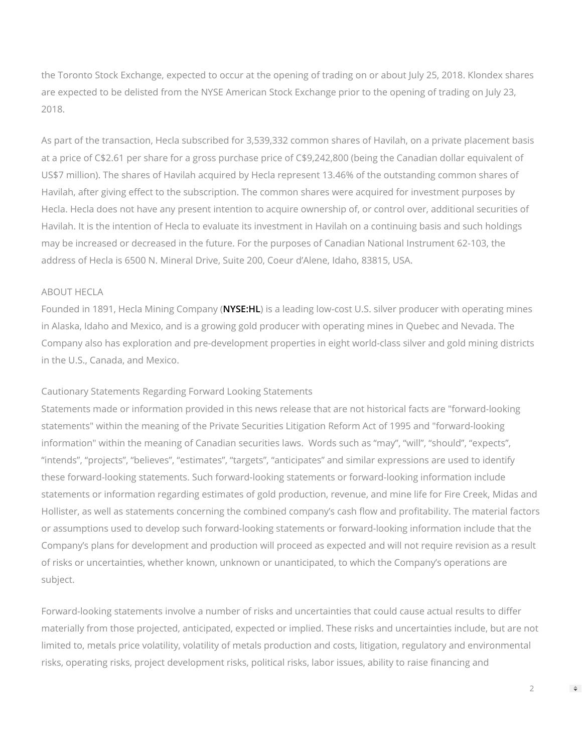the Toronto Stock Exchange, expected to occur at the opening of trading on or about July 25, 2018. Klondex shares are expected to be delisted from the NYSE American Stock Exchange prior to the opening of trading on July 23, 2018.

As part of the transaction, Hecla subscribed for 3,539,332 common shares of Havilah, on a private placement basis at a price of C\$2.61 per share for a gross purchase price of C\$9,242,800 (being the Canadian dollar equivalent of US\$7 million). The shares of Havilah acquired by Hecla represent 13.46% of the outstanding common shares of Havilah, after giving effect to the subscription. The common shares were acquired for investment purposes by Hecla. Hecla does not have any present intention to acquire ownership of, or control over, additional securities of Havilah. It is the intention of Hecla to evaluate its investment in Havilah on a continuing basis and such holdings may be increased or decreased in the future. For the purposes of Canadian National Instrument 62-103, the address of Hecla is 6500 N. Mineral Drive, Suite 200, Coeur d'Alene, Idaho, 83815, USA.

#### ABOUT HECLA

Founded in 1891, Hecla Mining Company ([NYSE:HL](http://www.hecla-mining.com/)) is a leading low-cost U.S. silver producer with operating mines in Alaska, Idaho and Mexico, and is a growing gold producer with operating mines in Quebec and Nevada. The Company also has exploration and pre-development properties in eight world-class silver and gold mining districts in the U.S., Canada, and Mexico.

### Cautionary Statements Regarding Forward Looking Statements

Statements made or information provided in this news release that are not historical facts are "forward-looking statements" within the meaning of the Private Securities Litigation Reform Act of 1995 and "forward-looking information" within the meaning of Canadian securities laws. Words such as "may", "will", "should", "expects", "intends", "projects", "believes", "estimates", "targets", "anticipates" and similar expressions are used to identify these forward-looking statements. Such forward-looking statements or forward-looking information include statements or information regarding estimates of gold production, revenue, and mine life for Fire Creek, Midas and Hollister, as well as statements concerning the combined company's cash flow and profitability. The material factors or assumptions used to develop such forward-looking statements or forward-looking information include that the Company's plans for development and production will proceed as expected and will not require revision as a result of risks or uncertainties, whether known, unknown or unanticipated, to which the Company's operations are subject.

Forward-looking statements involve a number of risks and uncertainties that could cause actual results to differ materially from those projected, anticipated, expected or implied. These risks and uncertainties include, but are not limited to, metals price volatility, volatility of metals production and costs, litigation, regulatory and environmental risks, operating risks, project development risks, political risks, labor issues, ability to raise financing and

 $\mathfrak{D}$ 

 $\Rightarrow$